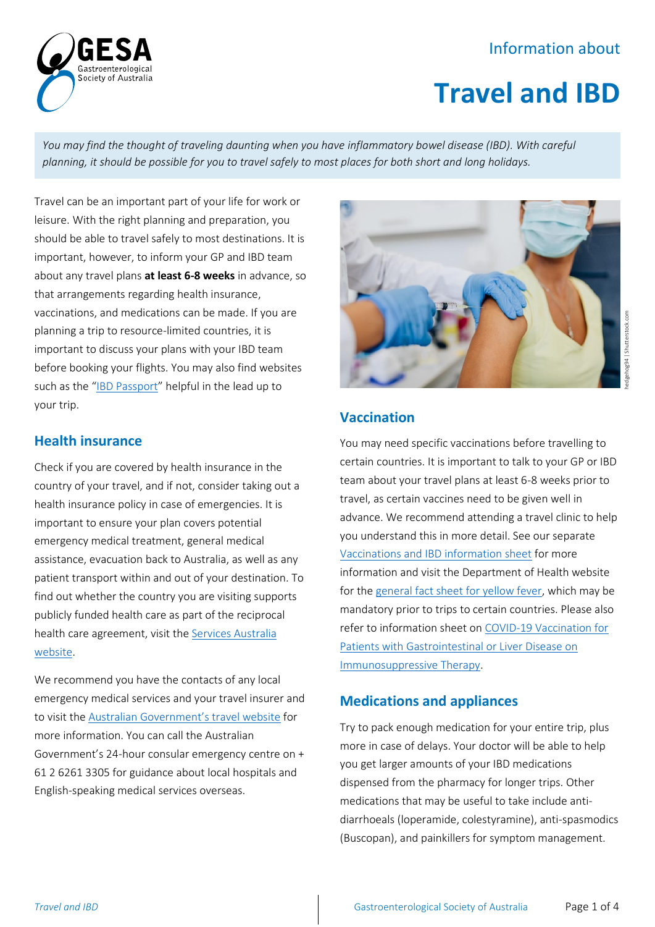# Information about



*You may find the thought of traveling daunting when you have inflammatory bowel disease (IBD). With careful planning, it should be possible for you to travel safely to most places for both short and long holidays.*

Travel can be an important part of your life for work or leisure. With the right planning and preparation, you should be able to travel safely to most destinations. It is important, however, to inform your GP and IBD team about any travel plans **at least 6-8 weeks** in advance, so that arrangements regarding health insurance, vaccinations, and medications can be made. If you are planning a trip to resource-limited countries, it is important to discuss your plans with your IBD team before booking your flights. You may also find websites such as the "[IBD Passport](https://www.ibdpassport.com/travelling-with-ibd)" helpful in the lead up to your trip.

roenterological Societv of Australia

### **Health insurance**

Check if you are covered by health insurance in the country of your travel, and if not, consider taking out a health insurance policy in case of emergencies. It is important to ensure your plan covers potential emergency medical treatment, general medical assistance, evacuation back to Australia, as well as any patient transport within and out of your destination. To find out whether the country you are visiting supports publicly funded health care as part of the reciprocal health care agreement, visit the [Services Australia](https://www.servicesaustralia.gov.au/individuals/services/medicare/reciprocal-health-care-agreements/when-australians-go-overseas)  [website.](https://www.servicesaustralia.gov.au/individuals/services/medicare/reciprocal-health-care-agreements/when-australians-go-overseas)

We recommend you have the contacts of any local emergency medical services and your travel insurer and to visit the [Australian Government's travel website](https://www.smartraveller.gov.au/before-you-go/the-basics/insurance) for more information. You can call the Australian Government's 24-hour consular emergency centre on + 61 2 6261 3305 for guidance about local hospitals and English-speaking medical services overseas.



## **Vaccination**

You may need specific vaccinations before travelling to certain countries. It is important to talk to your GP or IBD team about your travel plans at least 6-8 weeks prior to travel, as certain vaccines need to be given well in advance. We recommend attending a travel clinic to help you understand this in more detail. See our separate [Vaccinations and IBD information sheet](https://www.gesa.org.au/education/patient-resources/) for more information and visit the Department of Health website for th[e general fact sheet for yellow fever,](https://www1.health.gov.au/internet/main/publishing.nsf/Content/health-pubhlth-strateg-communic-factsheets-yellow.htm) which may be mandatory prior to trips to certain countries. Please also refer to information sheet on [COVID-19 Vaccination for](https://www.gesa.org.au/education/covid-19/)  [Patients with Gastrointestinal or Liver Disease on](https://www.gesa.org.au/education/covid-19/)  [Immunosuppressive Therapy.](https://www.gesa.org.au/education/covid-19/)

### **Medications and appliances**

Try to pack enough medication for your entire trip, plus more in case of delays. Your doctor will be able to help you get larger amounts of your IBD medications dispensed from the pharmacy for longer trips. Other medications that may be useful to take include antidiarrhoeals (loperamide, colestyramine), anti-spasmodics (Buscopan), and painkillers for symptom management.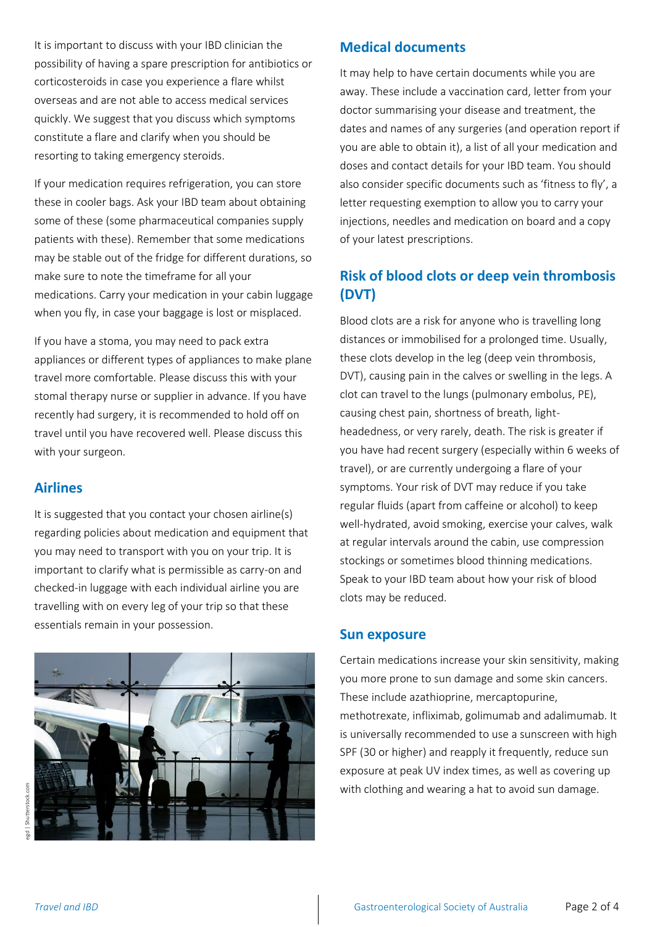It is important to discuss with your IBD clinician the possibility of having a spare prescription for antibiotics or corticosteroids in case you experience a flare whilst overseas and are not able to access medical services quickly. We suggest that you discuss which symptoms constitute a flare and clarify when you should be resorting to taking emergency steroids.

If your medication requires refrigeration, you can store these in cooler bags. Ask your IBD team about obtaining some of these (some pharmaceutical companies supply patients with these). Remember that some medications may be stable out of the fridge for different durations, so make sure to note the timeframe for all your medications. Carry your medication in your cabin luggage when you fly, in case your baggage is lost or misplaced.

If you have a stoma, you may need to pack extra appliances or different types of appliances to make plane travel more comfortable. Please discuss this with your stomal therapy nurse or supplier in advance. If you have recently had surgery, it is recommended to hold off on travel until you have recovered well. Please discuss this with your surgeon.

## **Airlines**

It is suggested that you contact your chosen airline(s) regarding policies about medication and equipment that you may need to transport with you on your trip. It is important to clarify what is permissible as carry-on and checked-in luggage with each individual airline you are travelling with on every leg of your trip so that these essentials remain in your possession.



# **Medical documents**

It may help to have certain documents while you are away. These include a vaccination card, letter from your doctor summarising your disease and treatment, the dates and names of any surgeries (and operation report if you are able to obtain it), a list of all your medication and doses and contact details for your IBD team. You should also consider specific documents such as 'fitness to fly', a letter requesting exemption to allow you to carry your injections, needles and medication on board and a copy of your latest prescriptions.

# **Risk of blood clots or deep vein thrombosis (DVT)**

Blood clots are a risk for anyone who is travelling long distances or immobilised for a prolonged time. Usually, these clots develop in the leg (deep vein thrombosis, DVT), causing pain in the calves or swelling in the legs. A clot can travel to the lungs (pulmonary embolus, PE), causing chest pain, shortness of breath, lightheadedness, or very rarely, death. The risk is greater if you have had recent surgery (especially within 6 weeks of travel), or are currently undergoing a flare of your symptoms. Your risk of DVT may reduce if you take regular fluids (apart from caffeine or alcohol) to keep well-hydrated, avoid smoking, exercise your calves, walk at regular intervals around the cabin, use compression stockings or sometimes blood thinning medications. Speak to your IBD team about how your risk of blood clots may be reduced.

## **Sun exposure**

Certain medications increase your skin sensitivity, making you more prone to sun damage and some skin cancers. These include azathioprine, mercaptopurine, methotrexate, infliximab, golimumab and adalimumab. It is universally recommended to use a sunscreen with high SPF (30 or higher) and reapply it frequently, reduce sun exposure at peak UV index times, as well as covering up with clothing and wearing a hat to avoid sun damage.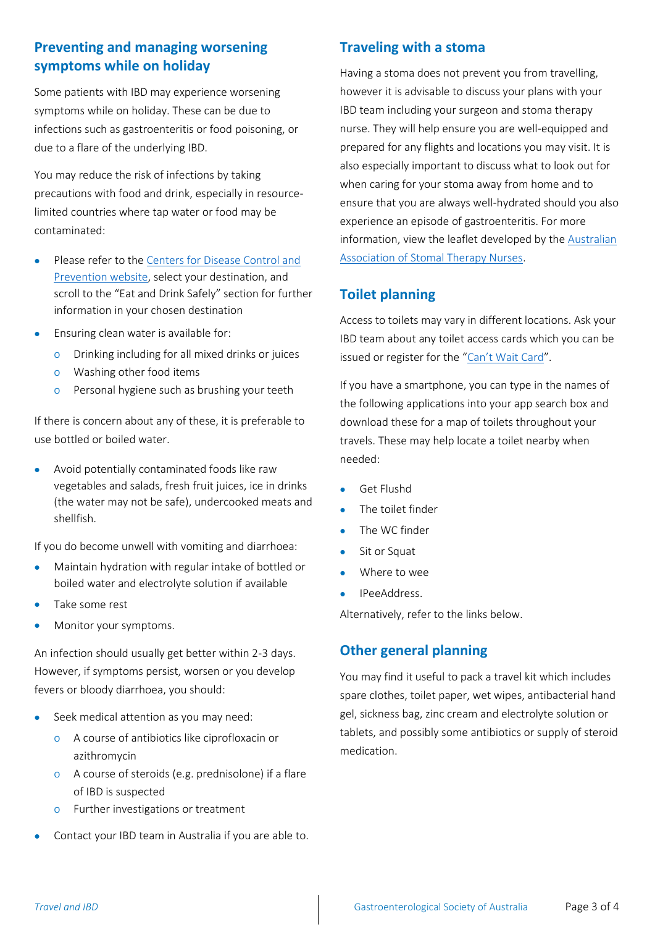# **Preventing and managing worsening symptoms while on holiday**

Some patients with IBD may experience worsening symptoms while on holiday. These can be due to infections such as gastroenteritis or food poisoning, or due to a flare of the underlying IBD.

You may reduce the risk of infections by taking precautions with food and drink, especially in resourcelimited countries where tap water or food may be contaminated:

- Please refer to the [Centers for Disease Control and](https://wwwnc.cdc.gov/travel)  [Prevention website,](https://wwwnc.cdc.gov/travel) select your destination, and scroll to the "Eat and Drink Safely" section for further information in your chosen destination
- Ensuring clean water is available for:
	- o Drinking including for all mixed drinks or juices
	- o Washing other food items
	- o Personal hygiene such as brushing your teeth

If there is concern about any of these, it is preferable to use bottled or boiled water.

• Avoid potentially contaminated foods like raw vegetables and salads, fresh fruit juices, ice in drinks (the water may not be safe), undercooked meats and shellfish.

If you do become unwell with vomiting and diarrhoea:

- Maintain hydration with regular intake of bottled or boiled water and electrolyte solution if available
- Take some rest
- Monitor your symptoms.

An infection should usually get better within 2-3 days. However, if symptoms persist, worsen or you develop fevers or bloody diarrhoea, you should:

- Seek medical attention as you may need:
	- o A course of antibiotics like ciprofloxacin or azithromycin
	- o A course of steroids (e.g. prednisolone) if a flare of IBD is suspected
	- o Further investigations or treatment
- Contact your IBD team in Australia if you are able to.

### **Traveling with a stoma**

Having a stoma does not prevent you from travelling, however it is advisable to discuss your plans with your IBD team including your surgeon and stoma therapy nurse. They will help ensure you are well-equipped and prepared for any flights and locations you may visit. It is also especially important to discuss what to look out for when caring for your stoma away from home and to ensure that you are always well-hydrated should you also experience an episode of gastroenteritis. For more information, view the leaflet developed by the [Australian](https://www.stomaltherapy.com/documents/PEP_travelling_with_a_stoma_2017.pdf)  [Association of Stomal Therapy Nurses.](https://www.stomaltherapy.com/documents/PEP_travelling_with_a_stoma_2017.pdf)

## **Toilet planning**

Access to toilets may vary in different locations. Ask your IBD team about any toilet access cards which you can be issued or register for the ["Can't Wait](http://www.cantwait.net.au/) Card".

If you have a smartphone, you can type in the names of the following applications into your app search box and download these for a map of toilets throughout your travels. These may help locate a toilet nearby when needed:

- Get Flushd
- The toilet finder
- The WC finder
- Sit or Squat
- Where to wee
- IPeeAddress.

Alternatively, refer to the links below.

## **Other general planning**

You may find it useful to pack a travel kit which includes spare clothes, toilet paper, wet wipes, antibacterial hand gel, sickness bag, zinc cream and electrolyte solution or tablets, and possibly some antibiotics or supply of steroid medication.